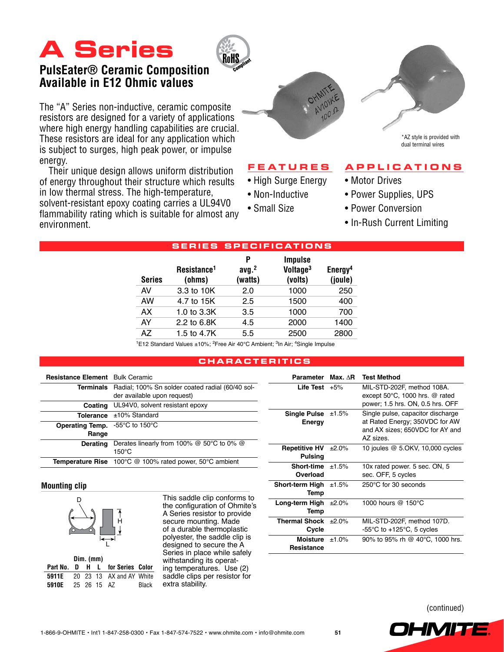# **A Series**



## **PulsEater® Ceramic Composition Available in E12 Ohmic values**

The "A" Series non-inductive, ceramic composite resistors are designed for a variety of applications where high energy handling capabilities are crucial. These resistors are ideal for any application which is subject to surges, high peak power, or impulse energy.

Their unique design allows uniform distribution of energy throughout their structure which results in low thermal stress. The high-temperature, solvent-resistant epoxy coating carries a UL94V0 flammability rating which is suitable for almost any environment.





\*AZ style is provided with dual terminal wires

#### **F eat u res**

- High Surge Energy
- Non-Inductive
- Small Size
- Power Supplies, UPS • Power Conversion

• Motor Drives

• In-Rush Current Limiting

**A pp l ications**

|  | <b>SERIES SPECIFICATIONS</b> |                                   |                                   |                                                   |                                |  |  |
|--|------------------------------|-----------------------------------|-----------------------------------|---------------------------------------------------|--------------------------------|--|--|
|  | <b>Series</b>                | Resistance <sup>1</sup><br>(ohms) | P<br>avg. <sup>2</sup><br>(watts) | <b>Impulse</b><br>Voltage <sup>3</sup><br>(volts) | Energy <sup>4</sup><br>(joule) |  |  |
|  | AV                           | 3.3 to 10K                        | 2.0                               | 1000                                              | 250                            |  |  |
|  | AW                           | 4.7 to 15K                        | 2.5                               | 1500                                              | 400                            |  |  |
|  | AX                           | 1.0 to 3.3K                       | 3.5                               | 1000                                              | 700                            |  |  |
|  | AY                           | 2.2 to 6.8K                       | 4.5                               | 2000                                              | 1400                           |  |  |
|  | A7                           | 1.5 to 4.7K                       | 5.5                               | 2500                                              | 2800                           |  |  |

<sup>1</sup>E12 Standard Values ±10%; <sup>2</sup>Free Air 40°C Ambient; <sup>3</sup>In Air; <sup>4</sup>Single Impulse

#### **c h aracteritics**

| <b>Resistance Element</b> Bulk Ceramic                              |                                                                                           |
|---------------------------------------------------------------------|-------------------------------------------------------------------------------------------|
|                                                                     | Terminals Radial; 100% Sn solder coated radial (60/40 sol-<br>der available upon request) |
| Coating                                                             | UL94V0, solvent resistant epoxy                                                           |
|                                                                     | <b>Tolerance</b> $\pm 10\%$ Standard                                                      |
| <b>Operating Temp.</b> $-55^{\circ}$ C to 150 $^{\circ}$ C<br>Range |                                                                                           |
| <b>Derating</b>                                                     | Derates linearly from 100% $@$ 50°C to 0% $@$<br>$150^{\circ}$ C                          |
|                                                                     | <b>Temperature Rise</b> 100°C @ 100% rated power, 50°C ambient                            |

| Parameter                       | $Max. AR$ | <b>Test Method</b>                                                                                                  |
|---------------------------------|-----------|---------------------------------------------------------------------------------------------------------------------|
| Life Test $+5%$                 |           | MIL-STD-202F, method 108A.<br>except $50^{\circ}$ C, 1000 hrs. @ rated<br>power; 1.5 hrs. ON, 0.5 hrs. OFF          |
| <b>Single Pulse</b><br>Energy   | ±1.5%     | Single pulse, capacitor discharge<br>at Rated Energy; 350VDC for AW<br>and AX sizes; 650VDC for AY and<br>AZ sizes. |
| <b>Repetitive HV</b><br>Pulsing | ±2.0%     | 10 joules @ 5.OKV, 10,000 cycles                                                                                    |
| Short-time $±1.5%$<br>Overload  |           | 10x rated power. 5 sec. ON, 5<br>sec. OFF, 5 cycles                                                                 |
| Short-term High<br>Temp         | ±1.5%     | 250°C for 30 seconds                                                                                                |
| Long-term High<br>Temp          | ±2.0%     | 1000 hours @ 150°C                                                                                                  |
| Thermal Shock<br>Cycle          | ±2.0%     | MIL-STD-202F, method 107D.<br>-55 $\mathrm{^{\circ}C}$ to +125 $\mathrm{^{\circ}C}$ , 5 cycles                      |
| Moisture $±1.0\%$<br>Resistance |           | 90% to 95% rh @ 40°C, 1000 hrs.                                                                                     |

#### **Mounting clip**



|       | $Dim.$ (mm) |  |             |                                       |       |
|-------|-------------|--|-------------|---------------------------------------|-------|
|       |             |  |             | Part No. D H L for Series Color       |       |
|       |             |  |             | <b>5911E</b> 20 23 13 AX and AY White |       |
| 5910E |             |  | 25 26 15 AZ |                                       | Black |

This saddle clip conforms to the configuration of Ohmite's A Series resistor to provide secure mounting. Made of a durable thermoplastic polyester, the saddle clip is designed to secure the A Series in place while safely withstanding its operating temperatures. Use (2) saddle clips per resistor for extra stability.

(continued)

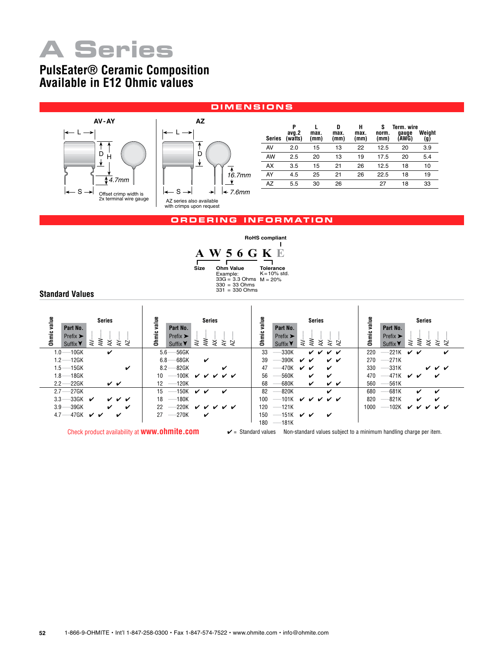

## **PulsEater® Ceramic Composition Available in E12 Ohmic values**

#### **d imensions**





| Series | P<br>avq.2<br>(watts) | max.<br>(mm) | D<br>max.<br>(mm) | н<br>max.<br>(mm) | S<br>norm.<br>(mm) | Term. wire<br>qauqe<br>(AWG) | Weiaht<br>(g) |
|--------|-----------------------|--------------|-------------------|-------------------|--------------------|------------------------------|---------------|
| AV     | 2.0                   | 15           | 13                | 22                | 12.5               | 20                           | 3.9           |
| AW     | 2.5                   | 20           | 13                | 19                | 17.5               | 20                           | 5.4           |
| AX     | 3.5                   | 15           | 21                | 26                | 12.5               | 18                           | 10            |
| AY     | 4.5                   | 25           | 21                | 26                | 22.5               | 18                           | 19            |
| AZ     | 5.5                   | 30           | 26                |                   | 27                 | 18                           | 33            |

#### **or d erin g information**

|      |                       |                                                                   | <b>RoHS</b> compliant               |
|------|-----------------------|-------------------------------------------------------------------|-------------------------------------|
|      |                       | 56 G K                                                            |                                     |
| Size | Ohm Value<br>Example: | $33G = 3.3$ Ohms $M = 20%$<br>$330 = 33$ Ohms<br>$331 = 330$ Ohms | <b>Tolerance</b><br>$K = 10\%$ std. |

**Standard Values**

| value<br><b>Series</b><br>Part No.<br>Ohmic<br>Prefix $\blacktriangleright$<br>⋛<br>⋧<br>¥<br>≽<br>₽<br>Suffix <b>Y</b> | value<br><b>Series</b><br>Part No.<br>Ohmic<br>Prefix $\blacktriangleright$<br>⋛<br>⋨<br>ਣੇ<br>⋧<br>₽<br>Suffix <b>Y</b> | value<br><b>Series</b><br>Part No.<br>Ohmic<br>Prefix $\blacktriangleright$<br>≹<br>≱<br>≽ ≽<br>⋧<br>Suffix <b>Y</b> | value<br><b>Series</b><br>Part No.<br>Ohmic<br>Prefix $\blacktriangleright$<br>⋛<br>⋨<br>⋧<br>さく<br>Suffix $\blacktriangledown$                                                                                                                                                                                                                                                                                                                                                                                     |
|-------------------------------------------------------------------------------------------------------------------------|--------------------------------------------------------------------------------------------------------------------------|----------------------------------------------------------------------------------------------------------------------|---------------------------------------------------------------------------------------------------------------------------------------------------------------------------------------------------------------------------------------------------------------------------------------------------------------------------------------------------------------------------------------------------------------------------------------------------------------------------------------------------------------------|
| $1.0 - 10$ GK<br>$\checkmark$                                                                                           | -56GK<br>$5.6 -$                                                                                                         | 33<br>-330K<br>v v v v                                                                                               | 220<br>$-221K$<br>v v<br>✓                                                                                                                                                                                                                                                                                                                                                                                                                                                                                          |
| $1.2 - 12$ GK                                                                                                           | -68GK<br>6.8 <sub>2</sub><br>✓                                                                                           | 390K<br>39<br>✓<br>✓✓<br>✓                                                                                           | 270<br>$-271K$                                                                                                                                                                                                                                                                                                                                                                                                                                                                                                      |
| $1.5 - 15$ GK<br>✓                                                                                                      | -82GK<br>$8.2 \cdot$<br>✓                                                                                                | 47<br>470K<br>$\boldsymbol{\nu}$<br>✓<br>び                                                                           | 330<br>-331K<br>v v v                                                                                                                                                                                                                                                                                                                                                                                                                                                                                               |
| $1.8 - 18$ GK                                                                                                           | $-100K$<br>ンンン<br>$10^{\circ}$<br>້ັນ                                                                                    | 560K<br>56<br>✓<br>✓                                                                                                 | 470<br>–471K<br>✓ ✓<br>✓                                                                                                                                                                                                                                                                                                                                                                                                                                                                                            |
| $2.2 - 22$ GK<br>v v                                                                                                    | $12 - 120K$                                                                                                              | -680K<br>68<br>✓<br>v v                                                                                              | 560<br>-561K                                                                                                                                                                                                                                                                                                                                                                                                                                                                                                        |
| $2.7 - 27$ GK                                                                                                           | $-150K$<br>15<br>$\boldsymbol{\checkmark}$<br>ັ<br>✓                                                                     | 820K<br>82<br>✓                                                                                                      | 680<br>681K<br>✓<br>✓                                                                                                                                                                                                                                                                                                                                                                                                                                                                                               |
| $-33$ GK<br>$3.3 -$<br>✓<br><u>v v v</u>                                                                                | $-180K$<br>18                                                                                                            | 100<br>$-101K$<br>______                                                                                             | 820<br>-821K<br>✓<br>✓                                                                                                                                                                                                                                                                                                                                                                                                                                                                                              |
| -39GK<br>$3.9 -$<br>✓<br>✓                                                                                              | 22<br>-220K<br><i>v v v v v</i>                                                                                          | $-121K$<br>120                                                                                                       | 1000<br>$-102K$<br>✓<br>✓ ✓<br>✓<br>✓<br>$\frac{1}{2} \left( \frac{1}{2} \right) \left( \frac{1}{2} \right) \left( \frac{1}{2} \right) \left( \frac{1}{2} \right) \left( \frac{1}{2} \right) \left( \frac{1}{2} \right) \left( \frac{1}{2} \right) \left( \frac{1}{2} \right) \left( \frac{1}{2} \right) \left( \frac{1}{2} \right) \left( \frac{1}{2} \right) \left( \frac{1}{2} \right) \left( \frac{1}{2} \right) \left( \frac{1}{2} \right) \left( \frac{1}{2} \right) \left( \frac{1}{2} \right) \left( \frac$ |
| 4.7—47GK $\checkmark$<br>✓                                                                                              | 27<br>$-270K$<br>v                                                                                                       | 150<br>-151K<br>びび<br>✓<br>180<br>$-181K$                                                                            |                                                                                                                                                                                                                                                                                                                                                                                                                                                                                                                     |

Check product availability at **www.ohmite.com**  $\mathsf{v}$  = Standard values Non-standard values subject to a minimum handling charge per item.